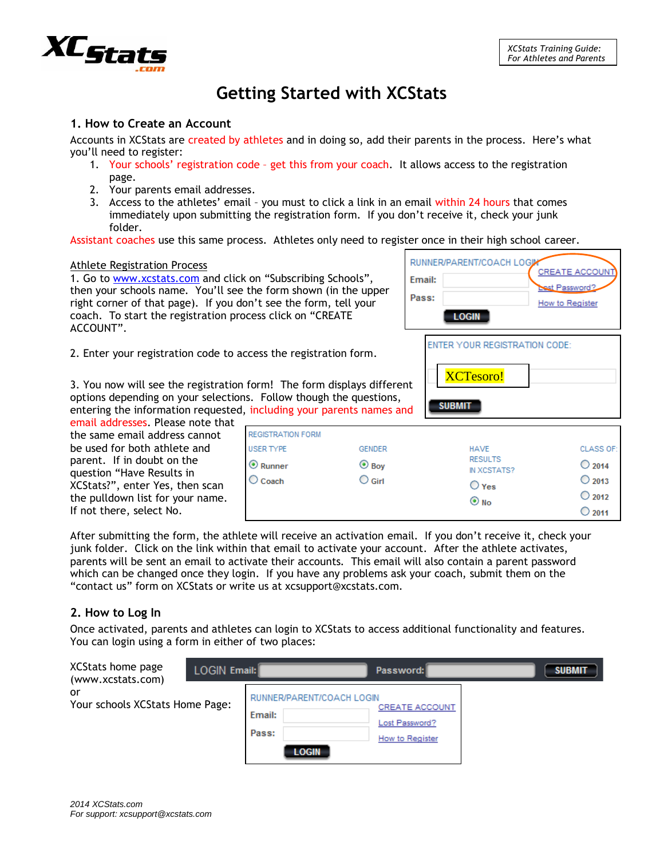# **Getting Started with XCStats**

#### **1. How to Create an Account**

Accounts in XCStats are created by athletes and in doing so, add their parents in the process. Here's what you'll need to register:

- 1. Your schools' registration code get this from your coach. It allows access to the registration page.
- 2. Your parents email addresses.
- 3. Access to the athletes' email you must to click a link in an email within 24 hours that comes immediately upon submitting the registration form. If you don't receive it, check your junk folder.

Assistant coaches use this same process. Athletes only need to register once in their high school career.

#### Athlete Registration Process

1. Go to [www.xcstats.com](http://www.xcstats.com/) and click on "Subscribing Schools", then your schools name. You'll see the form shown (in the upper right corner of that page). If you don't see the form, tell your coach. To start the registration process click on "CREATE ACCOUNT".



2. Enter your registration code to access the registration form.

3. You now will see the registration form! The form displays different options depending on your selections. Follow though the questions, entering the information requested, including your parents names and

email addresses. Please note that the same email address cannot be used for both athlete and parent. If in doubt on the question "Have Results in XCStats?", enter Yes, then scan the pulldown list for your name. If not there, select No.

| <b>REGISTRATION FORM</b><br><b>USER TYPE</b><br>$\odot$ Runner<br>$\bigcirc$ Coach | <b>GENDER</b><br>$\odot$ Boy<br>$\bigcirc$ Girl | <b>HAVE</b><br><b>RESULTS</b><br>IN XCSTATS?<br>$\bigcirc$ Yes<br>$\odot$ No | CLASS OF:<br>$\bigcirc$ 2014<br>$\bigcirc$ 2013<br>$\bigcirc$ 2012<br>$\bigcirc$ 2011 |
|------------------------------------------------------------------------------------|-------------------------------------------------|------------------------------------------------------------------------------|---------------------------------------------------------------------------------------|
|------------------------------------------------------------------------------------|-------------------------------------------------|------------------------------------------------------------------------------|---------------------------------------------------------------------------------------|

After submitting the form, the athlete will receive an activation email. If you don't receive it, check your junk folder. Click on the link within that email to activate your account. After the athlete activates, parents will be sent an email to activate their accounts. This email will also contain a parent password which can be changed once they login. If you have any problems ask your coach, submit them on the "contact us" form on XCStats or write us at xcsupport@xcstats.com.

#### **2. How to Log In**

Once activated, parents and athletes can login to XCStats to access additional functionality and features. You can login using a form in either of two places:

| XCStats home page<br>(www.xcstats.com) | <b>LOGIN Email:</b> |                                                              | Password:                                                  | <b>SUBMIT</b> |
|----------------------------------------|---------------------|--------------------------------------------------------------|------------------------------------------------------------|---------------|
| or<br>Your schools XCStats Home Page:  |                     | RUNNER/PARENT/COACH LOGIN<br>Email:<br>Pass:<br><b>LOGIN</b> | <b>CREATE ACCOUNT</b><br>Lost Password?<br>How to Register |               |